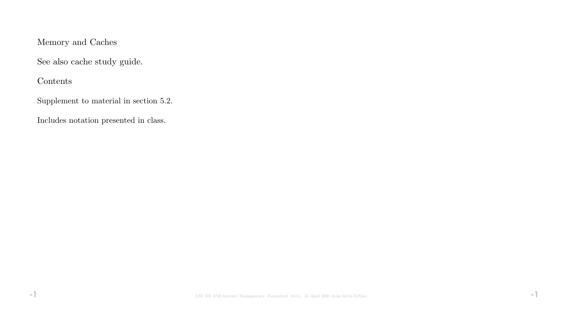# Memory and Caches

See also cache study guide.

Contents

Supplement to material in section 5.2.

Includes notation presented in class.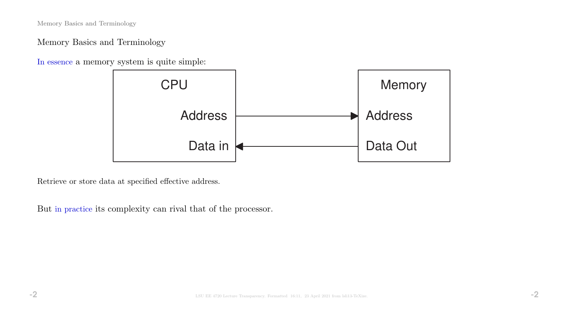Memory Basics and Terminology

Memory Basics and Terminology

In essence a memory system is quite simple:



Retrieve or store data at specified effective address.

But in practice its complexity can rival that of the processor.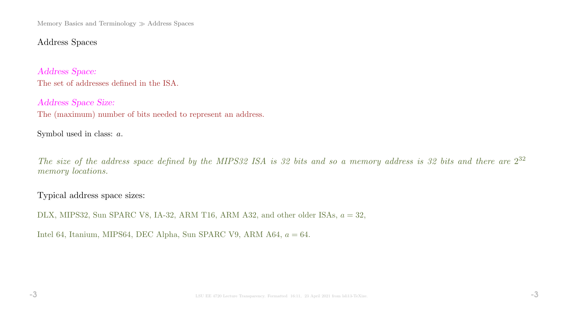Memory Basics and Terminology  $\gg$  Address Spaces

# Address Spaces

Address Space: The set of addresses defined in the ISA.

Address Space Size: The (maximum) number of bits needed to represent an address.

Symbol used in class: a.

The size of the address space defined by the MIPS32 ISA is 32 bits and so a memory address is 32 bits and there are  $2^{32}$ memory *locations*.

Typical address space sizes:

DLX, MIPS32, Sun SPARC V8, IA-32, ARM T16, ARM A32, and other older ISAs,  $a = 32$ ,

Intel 64, Itanium, MIPS64, DEC Alpha, Sun SPARC V9, ARM A64,  $a = 64$ .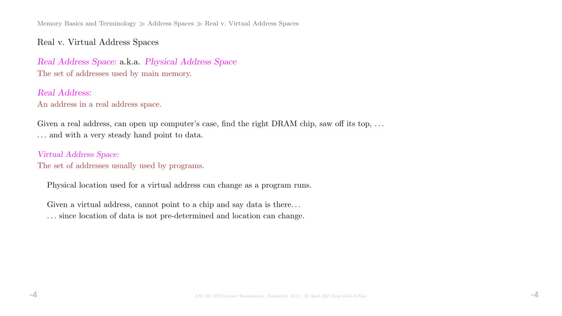Memory Basics and Terminology  $\gg$  Address Spaces  $\gg$  Real v. Virtual Address Spaces

# Real v. Virtual Address Spaces

Real Address Space: a.k.a. Physical Address Space The set of addresses used by main memory.

Real Address: An address in a real address space.

Given a real address, can open up computer's case, find the right DRAM chip, saw off its top, ... . . . and with a very steady hand point to data.

Virtual Address Space: The set of addresses usually used by programs.

Physical location used for a virtual address can change as a program runs.

Given a virtual address, cannot point to a chip and say data is there...

. . . since location of data is not pre-determined and location can change.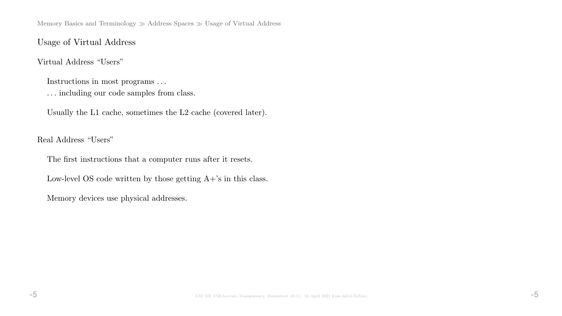Memory Basics and Terminology  $\gg$  Address Spaces  $\gg$  Usage of Virtual Address

### Usage of Virtual Address

### Virtual Address "Users"

Instructions in most programs . . .

. . . including our code samples from class.

Usually the L1 cache, sometimes the L2 cache (covered later).

Real Address "Users"

The first instructions that a computer runs after it resets.

Low-level OS code written by those getting  $A+$ 's in this class.

Memory devices use physical addresses.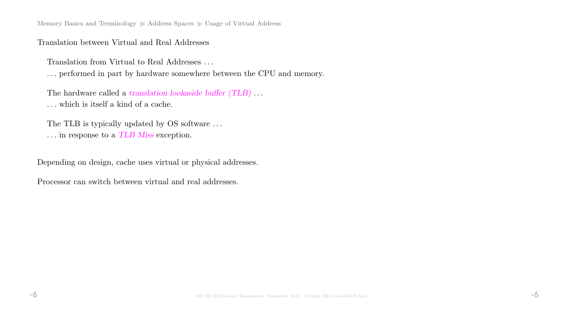Memory Basics and Terminology  $\gg$  Address Spaces  $\gg$  Usage of Virtual Address

### Translation between Virtual and Real Addresses

Translation from Virtual to Real Addresses . . .

. . . performed in part by hardware somewhere between the CPU and memory.

The hardware called a translation lookaside buffer (TLB)... . . . which is itself a kind of a cache.

The TLB is typically updated by OS software ...  $\ldots$  in response to a  $TLB$   $Miss$  exception.

Depending on design, cache uses virtual or physical addresses.

Processor can switch between virtual and real addresses.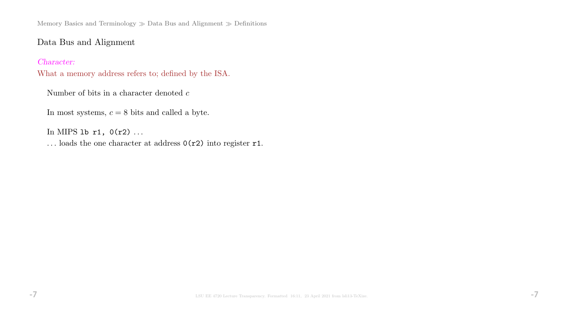Memory Basics and Terminology  $\gg$  Data Bus and Alignment  $\gg$  Definitions

# Data Bus and Alignment

### Character:

What a memory address refers to; defined by the ISA.

Number of bits in a character denoted  $\boldsymbol{c}$ 

In most systems,  $c = 8$  bits and called a byte.

In MIPS 1b  $r1$ ,  $0(r2)$  ...

... loads the one character at address  $0(r2)$  into register r1.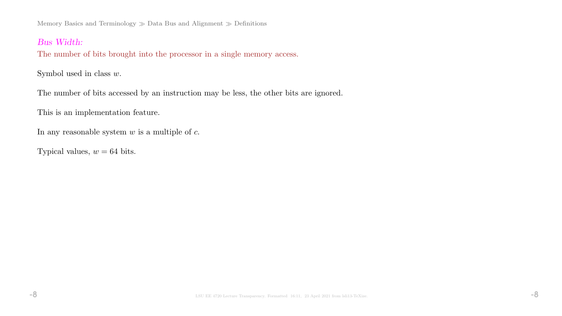Memory Basics and Terminology  $\gg$  Data Bus and Alignment  $\gg$  Definitions

### Bus Width:

The number of bits brought into the processor in a single memory access.

Symbol used in class  $w$ .

The number of bits accessed by an instruction may be less, the other bits are ignored.

This is an implementation feature.

In any reasonable system  $w$  is a multiple of  $c$ .

Typical values,  $w = 64$  bits.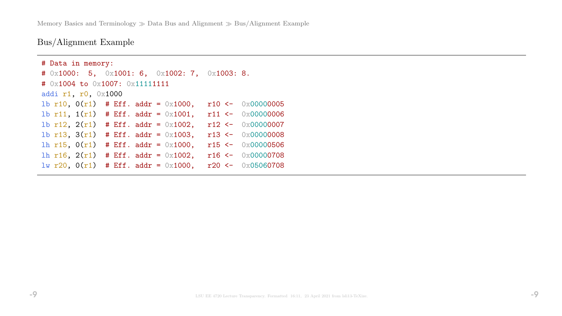Memory Basics and Terminology  $\gg$  Data Bus and Alignment  $\gg$  Bus/Alignment Example

Bus/Alignment Example

```
# Data in memory:
# 0x1000: 5, 0x1001: 6, 0x1002: 7, 0x1003: 8.
# 0x1004 to 0x1007: 0x11111111
addi r1, r0, 0x1000
1b r10, 0(r1) # Eff. addr = 0x1000, r10 <- 0x000000005
1b r11, 1(r1) # Eff. addr = 0x1001, r11 <- 0x000000006
1b r12, 2(r1) # Eff. addr = 0x1002, r12 <- 0x00000007
1b r13, 3(r1) # Eff. addr = 0x1003, r13 <- 0x000000008
lh r15, 0(r1) # Eff. addr = 0x1000, r15 <- 0x00000506
lh r16, 2(r1) # Eff. addr = 0x1002, r16 <- 0x00000708
lw r20, 0(r1) # Eff. addr = 0x1000, r20 <- 0x05060708
```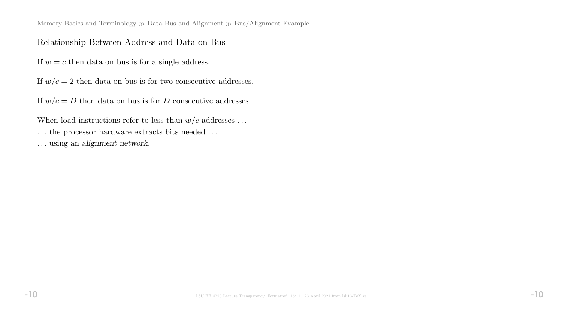Memory Basics and Terminology  $\gg$  Data Bus and Alignment  $\gg$  Bus/Alignment Example

## Relationship Between Address and Data on Bus

If  $w = c$  then data on bus is for a single address.

If  $w/c = 2$  then data on bus is for two consecutive addresses.

If  $w/c = D$  then data on bus is for D consecutive addresses.

When load instructions refer to less than  $w/c$  addresses ... ... the processor hardware extracts bits needed ... . . . using an alignment network.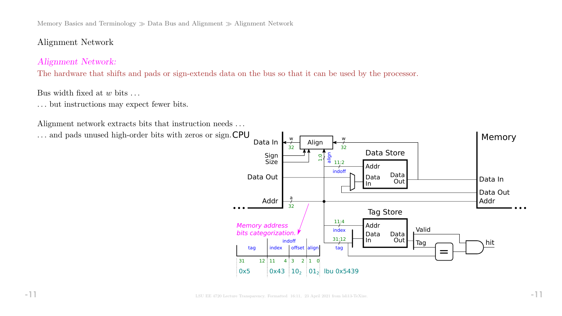Memory Basics and Terminology  $\gg$  Data Bus and Alignment  $\gg$  Alignment Network

# Alignment Network

# Alignment Network:

The hardware that shifts and pads or sign-extends data on the bus so that it can be used by the processor.

### Bus width fixed at  $w$  bits  $\dots$

. . . but instructions may expect fewer bits.

Alignment network extracts bits that instruction needs ...

... and pads unused high-order bits with zeros or sign. CPU

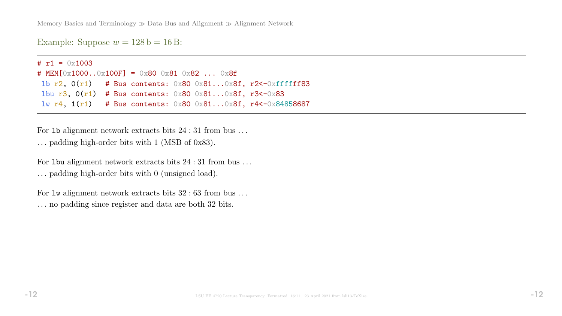Memory Basics and Terminology  $\gg$  Data Bus and Alignment  $\gg$  Alignment Network

Example: Suppose  $w = 128$  b = 16 B:

#  $r1 = 0 \times 1003$ # MEM[0x1000..0x100F] = 0x80 0x81 0x82 ... 0x8f lb  $r2$ ,  $0(r1)$  # Bus contents:  $0x80$   $0x81...0x8f$ ,  $r2$  <  $0xffffff83$ lbu r3,  $0(r1)$  # Bus contents:  $0x80$   $0x81...0x8f$ , r3<-0x83 lw r4, 1(r1) # Bus contents: 0x80 0x81...0x8f, r4<-0x84858687

For 1b alignment network extracts bits  $24:31$  from bus ... . . . padding high-order bits with 1 (MSB of 0x83).

For 1 bu alignment network extracts bits  $24:31$  from bus ... . . . padding high-order bits with 0 (unsigned load).

For  $\text{Iw}$  alignment network extracts bits  $32 : 63$  from bus ... . . . no padding since register and data are both 32 bits.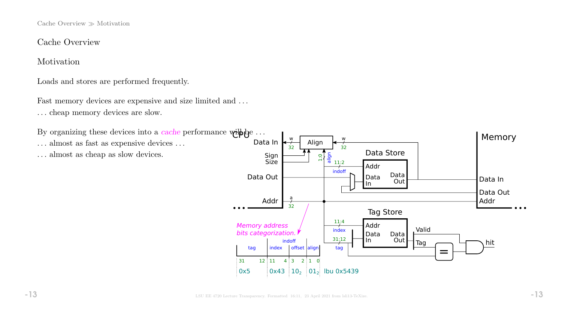Cache Overview  $\gg$  Motivation

Cache Overview

Motivation

Loads and stores are performed frequently.

Fast memory devices are expensive and size limited and ... . . . cheap memory devices are slow.

By organizing these devices into a *cache* performance  $\text{while } \omega \to \infty$ 

 $\dots$  almost as fast as expensive devices  $\dots$ 

. . . almost as cheap as slow devices.

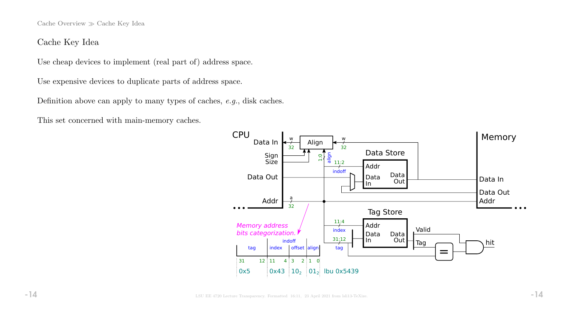Cache Overview  $\gg$  Cache Key Idea

## Cache Key Idea

Use cheap devices to implement (real part of) address space.

Use expensive devices to duplicate parts of address space.

Definition above can apply to many types of caches, e.g., disk caches.

This set concerned with main-memory caches.

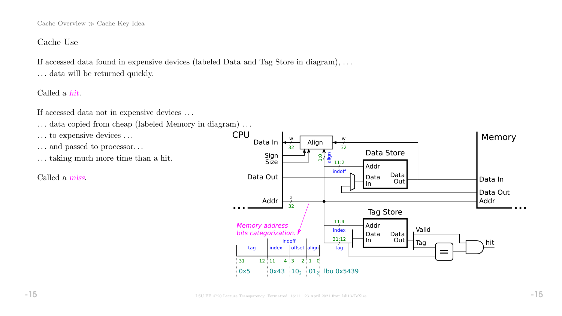Cache Overview  $\gg$  Cache Key Idea

### Cache Use

If accessed data found in expensive devices (labeled Data and Tag Store in diagram), . . . ... data will be returned quickly.

Called a hit.

If accessed data not in expensive devices . . .

- ... data copied from cheap (labeled Memory in diagram)...
- ... to expensive devices ...
- . . . and passed to processor. . .
- . . . taking much more time than a hit.

Called a miss.

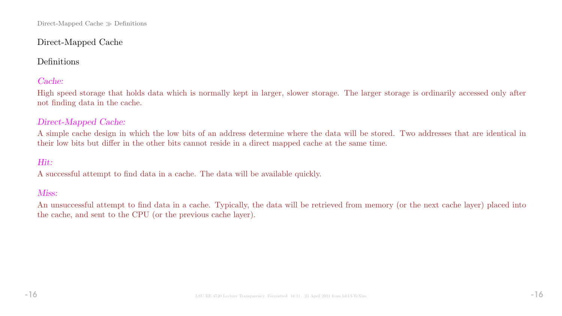# Direct-Mapped Cache

# Definitions

# Cache:

High speed storage that holds data which is normally kept in larger, slower storage. The larger storage is ordinarily accessed only after not finding data in the cache.

# Direct-Mapped Cache:

A simple cache design in which the low bits of an address determine where the data will be stored. Two addresses that are identical in their low bits but differ in the other bits cannot reside in a direct mapped cache at the same time.

# Hit:

A successful attempt to find data in a cache. The data will be available quickly.

### Miss:

An unsuccessful attempt to find data in a cache. Typically, the data will be retrieved from memory (or the next cache layer) placed into the cache, and sent to the CPU (or the previous cache layer).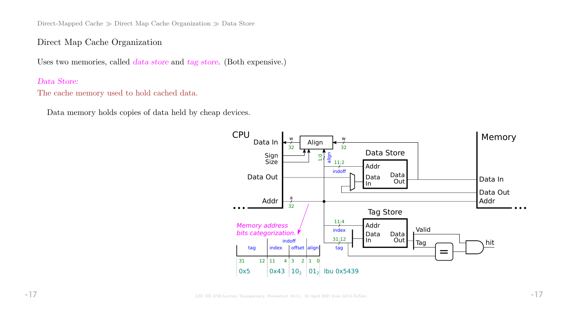Direct-Mapped Cache  $\gg$  Direct Map Cache Organization  $\gg$  Data Store

### Direct Map Cache Organization

Uses two memories, called *data store* and tag store. (Both expensive.)

### Data Store:

The cache memory used to hold cached data.

Data memory holds copies of data held by cheap devices.

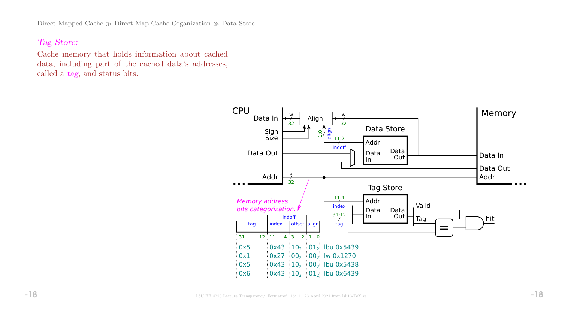Direct-Mapped Cache  $\gg$  Direct Map Cache Organization  $\gg$  Data Store

# Tag Store:

Cache memory that holds information about cached data, including part of the cached data's addresses, called a tag, and status bits.

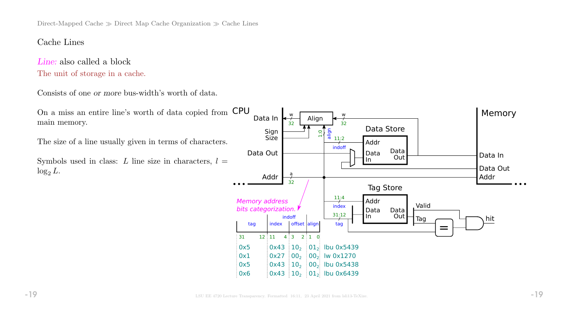Direct-Mapped Cache  $\gg$  Direct Map Cache Organization  $\gg$  Cache Lines

### Cache Lines

Line: also called a block The unit of storage in a cache.

Consists of one or more bus-width's worth of data.

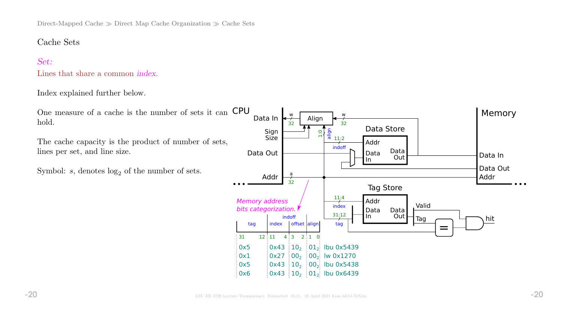Direct-Mapped Cache  $\gg$  Direct Map Cache Organization  $\gg$  Cache Sets

### Cache Sets

### Set:

Lines that share a common index.

#### Index explained further below.

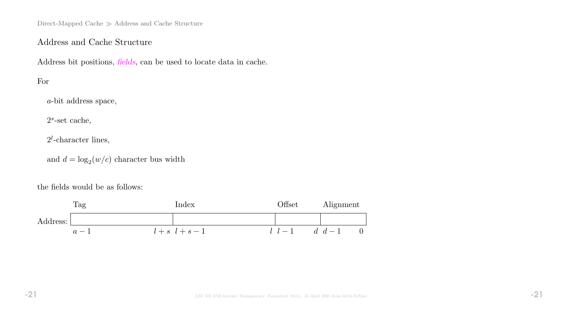Direct-Mapped Cache  $\gg$  Address and Cache Structure

## Address and Cache Structure

Address bit positions, fields, can be used to locate data in cache.

# For

a-bit address space,

 $2<sup>s</sup>$ -set cache,

 $2^l$ -character lines,

and  $d = \log_2(w/c)$  character bus width

the fields would be as follows:

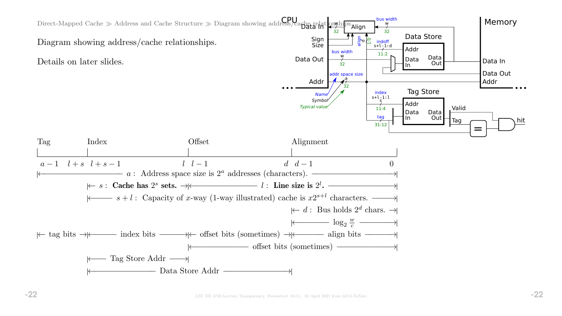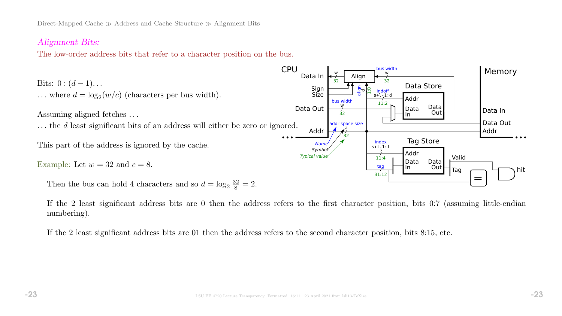### Alignment Bits:

The low-order address bits that refer to a character position on the bus.



If the 2 least significant address bits are 0 then the address refers to the first character position, bits 0:7 (assuming little-endian numbering).

If the 2 least significant address bits are 01 then the address refers to the second character position, bits 8:15, etc.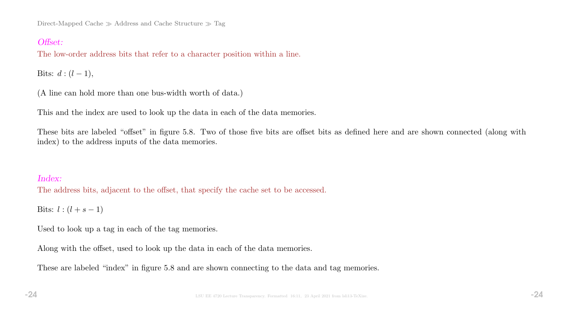Direct-Mapped Cache  $\gg$  Address and Cache Structure  $\gg$  Tag

# Offset:

The low-order address bits that refer to a character position within a line.

Bits:  $d : (l - 1)$ ,

(A line can hold more than one bus-width worth of data.)

This and the index are used to look up the data in each of the data memories.

These bits are labeled "offset" in figure 5.8. Two of those five bits are offset bits as defined here and are shown connected (along with index) to the address inputs of the data memories.

### Index:

The address bits, adjacent to the offset, that specify the cache set to be accessed.

Bits:  $l : (l + s - 1)$ 

Used to look up a tag in each of the tag memories.

Along with the offset, used to look up the data in each of the data memories.

These are labeled "index" in figure 5.8 and are shown connecting to the data and tag memories.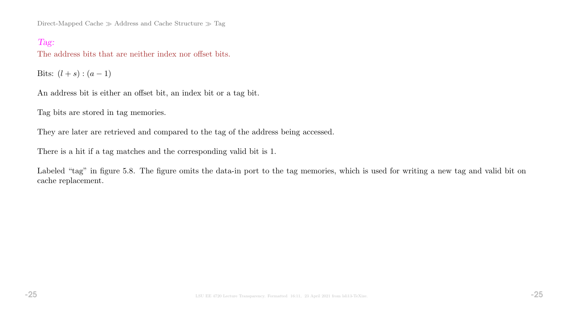Direct-Mapped Cache  $\gg$  Address and Cache Structure  $\gg$  Tag

## Tag:

The address bits that are neither index nor offset bits.

Bits:  $(l + s) : (a - 1)$ 

An address bit is either an offset bit, an index bit or a tag bit.

Tag bits are stored in tag memories.

They are later are retrieved and compared to the tag of the address being accessed.

There is a hit if a tag matches and the corresponding valid bit is 1.

Labeled "tag" in figure 5.8. The figure omits the data-in port to the tag memories, which is used for writing a new tag and valid bit on cache replacement.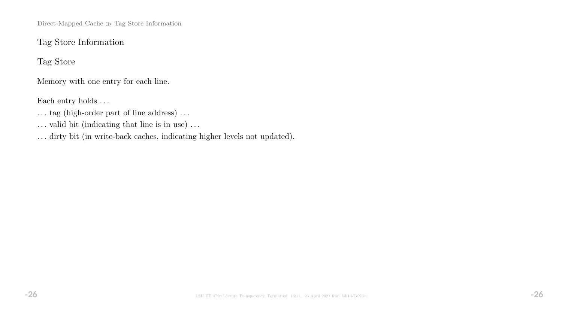Direct-Mapped Cache  $\gg$  Tag Store Information

# Tag Store Information

Tag Store

Memory with one entry for each line.

Each entry holds  $\ldots$ 

 $\dots$  tag (high-order part of line address)  $\dots$ 

 $\ldots$  valid bit (indicating that line is in use)  $\ldots$ 

. . . dirty bit (in write-back caches, indicating higher levels not updated).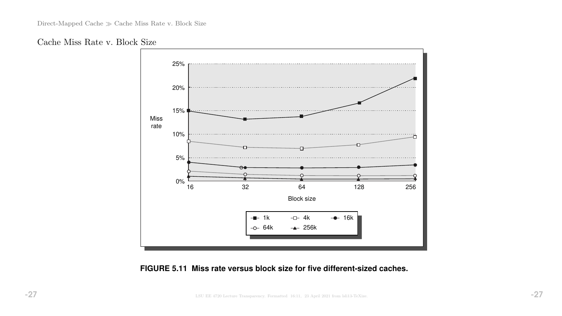



### **FIGURE 5.11 Miss rate versus block size for five different-sized caches.**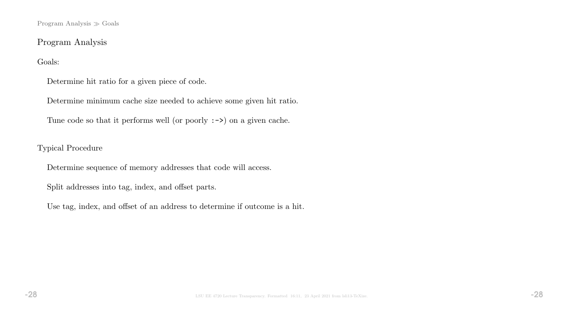Program Analysis  $\gg$  Goals

# Program Analysis

### Goals:

Determine hit ratio for a given piece of code.

Determine minimum cache size needed to achieve some given hit ratio.

Tune code so that it performs well (or poorly :->) on a given cache.

### Typical Procedure

Determine sequence of memory addresses that code will access.

Split addresses into tag, index, and offset parts.

Use tag, index, and offset of an address to determine if outcome is a hit.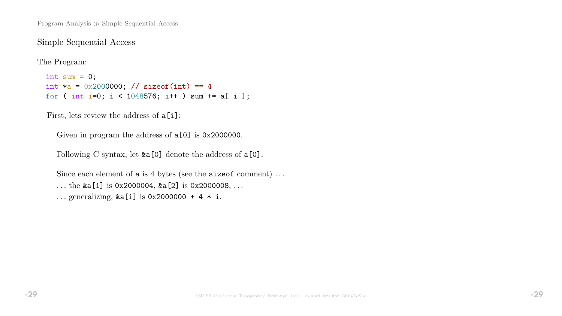Program Analysis  $\gg$  Simple Sequential Access

### Simple Sequential Access

The Program:

int sum =  $0$ ; int  $a = 0x2000000;$  // sizeof(int) == 4 for ( int i=0; i < 1048576; i++ ) sum += a[ i ];

First, lets review the address of  $a[i]$ :

Given in program the address of  $a[0]$  is 0x2000000.

Following C syntax, let  $&a[0]$  denote the address of  $a[0]$ .

Since each element of a is 4 bytes (see the size of comment) ... ... the  $\&a[1]$  is 0x2000004,  $\&a[2]$  is 0x2000008, ... ... generalizing,  $&a[i]$  is 0x2000000 + 4  $*$  i.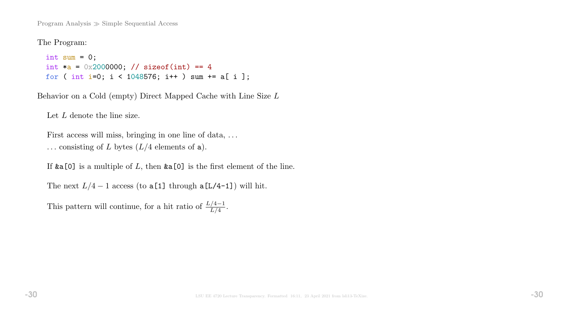Program Analysis  $\gg$  Simple Sequential Access

The Program:

```
int sum = 0;
int a = 0x2000000; // sizeof(int) == 4
for ( int i=0; i < 1048576; i++ ) sum += a[ i ];
```
Behavior on a Cold (empty) Direct Mapped Cache with Line Size L

Let L denote the line size.

First access will miss, bringing in one line of data, ... ... consisting of L bytes  $(L/4$  elements of a).

If  $\&a[0]$  is a multiple of L, then  $\&a[0]$  is the first element of the line.

The next  $L/4 - 1$  access (to a[1] through a[L/4-1]) will hit.

This pattern will continue, for a hit ratio of  $\frac{L/4-1}{L/4}$ .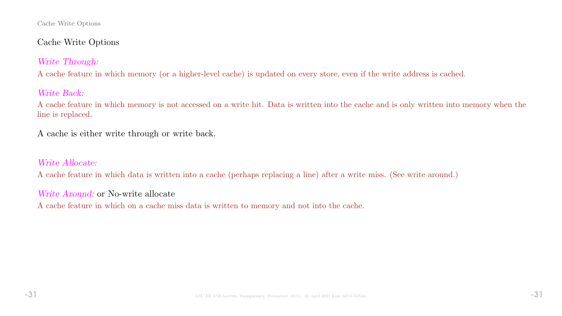#### Cache Write Options

# Cache Write Options

# Write Through:

A cache feature in which memory (or a higher-level cache) is updated on every store, even if the write address is cached.

# Write Back:

A cache feature in which memory is not accessed on a write hit. Data is written into the cache and is only written into memory when the line is replaced.

A cache is either write through or write back.

# Write Allocate:

A cache feature in which data is written into a cache (perhaps replacing a line) after a write miss. (See write around.)

# Write Around: or No-write allocate

A cache feature in which on a cache miss data is written to memory and not into the cache.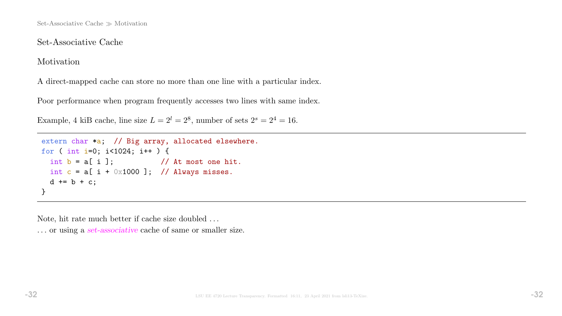# Set-Associative Cache

Motivation

A direct-mapped cache can store no more than one line with a particular index.

Poor performance when program frequently accesses two lines with same index.

Example, 4 kiB cache, line size  $L = 2^l = 2^8$ , number of sets  $2^s = 2^4 = 16$ .

```
extern char *a; // Big array, allocated elsewhere.
for ( int i=0; i<1024; i++ ) {
 int b = a[i]; // At most one hit.
 int c = a[i + 0x1000]; // Always misses.
 d == b + c;
}
```
Note, hit rate much better if cache size doubled . . .

... or using a set-associative cache of same or smaller size.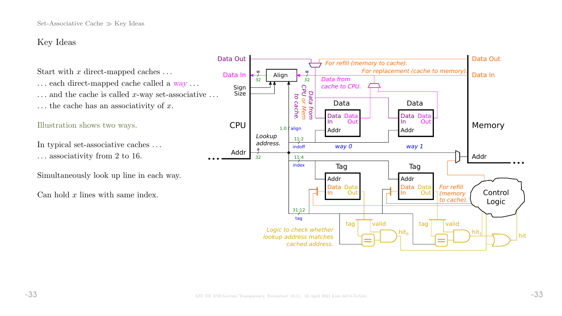# Key Ideas

Start with x direct-mapped caches  $\dots$ 

 $\ldots$  each direct-mapped cache called a  $way \ldots$  $\dots$  and the cache is called x-way set-associative  $\dots$  $\ldots$  the cache has an associativity of x.

### Illustration shows two ways.

In typical set-associative caches . . . . . . associativity from 2 to 16.

Simultaneously look up line in each way.

Can hold  $x$  lines with same index.

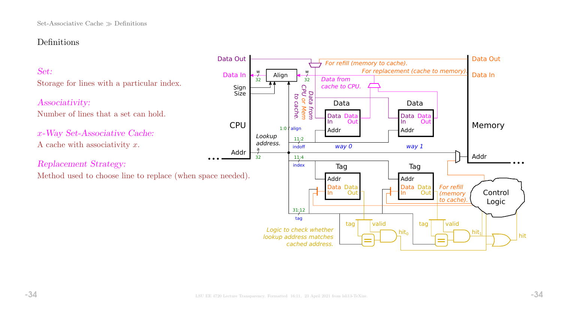# Definitions

# Set:

Storage for lines with a particular index.

### Associativity:

Number of lines that a set can hold.

x-Way Set-Associative Cache: A cache with associativity  $x$ .

Replacement Strategy:

Method used to choose line to replace (when space needed).

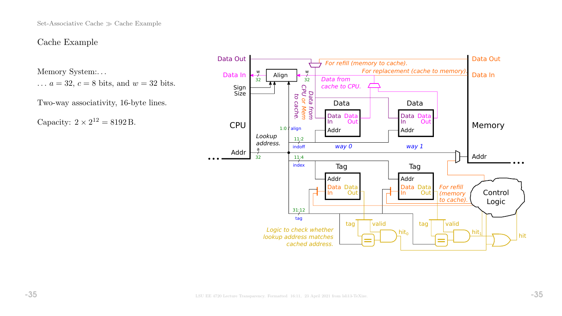Set-Associative Cache  $\gg$  Cache Example

### Cache Example

Memory System:. . .

 $\ldots a = 32, c = 8$  bits, and  $w = 32$  bits.

Two-way associativity, 16-byte lines.

Capacity:  $2 \times 2^{12} = 8192$  B.

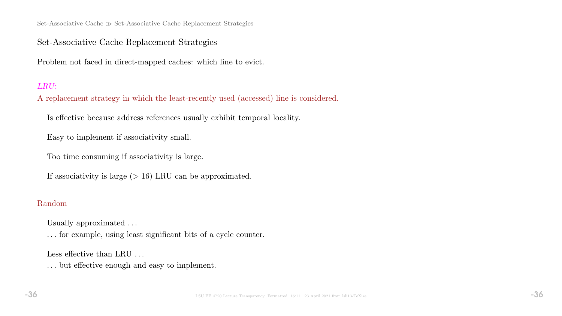Set-Associative Cache  $\gg$  Set-Associative Cache Replacement Strategies

## Set-Associative Cache Replacement Strategies

Problem not faced in direct-mapped caches: which line to evict.

### LRU:

A replacement strategy in which the least-recently used (accessed) line is considered.

Is effective because address references usually exhibit temporal locality.

Easy to implement if associativity small.

Too time consuming if associativity is large.

If associativity is large  $(> 16)$  LRU can be approximated.

### Random

Usually approximated . . .

. . . for example, using least significant bits of a cycle counter.

Less effective than LRU ...

. . . but effective enough and easy to implement.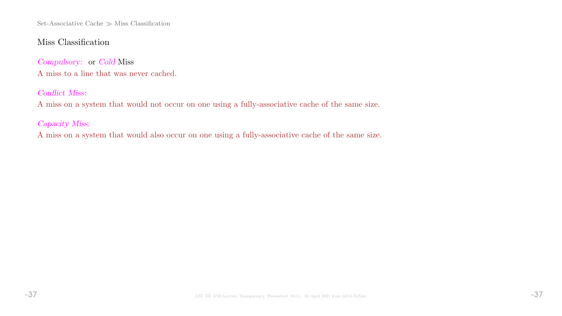Set-Associative Cache  $\gg$  Miss Classification

# Miss Classification

Compulsory: or Cold Miss A miss to a line that was never cached.

### Conflict Miss:

A miss on a system that would not occur on one using a fully-associative cache of the same size.

Capacity Miss:

A miss on a system that would also occur on one using a fully-associative cache of the same size.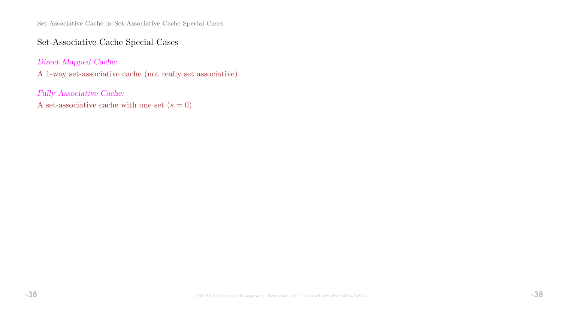Set-Associative Cache  $\gg$  Set-Associative Cache Special Cases

# Set-Associative Cache Special Cases

Direct Mapped Cache:

A 1-way set-associative cache (not really set associative).

Fully Associative Cache:

A set-associative cache with one set  $(s = 0)$ .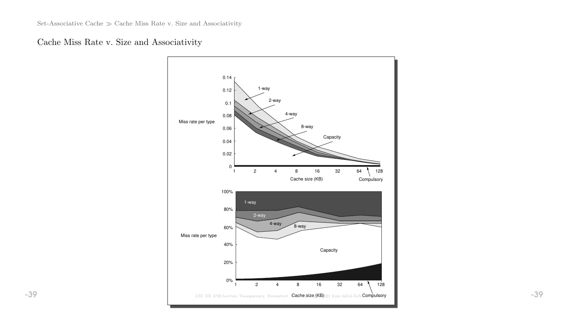# Cache Miss Rate v. Size and Associativity

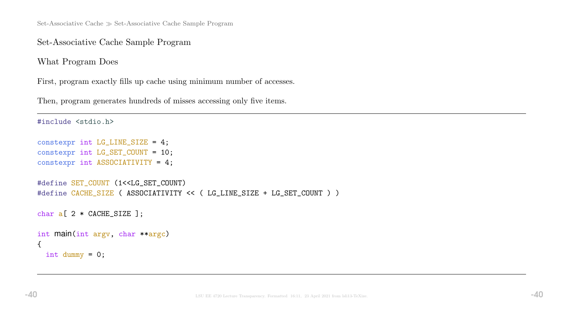Set-Associative Cache  $\gg$  Set-Associative Cache Sample Program

Set-Associative Cache Sample Program

What Program Does

First, program exactly fills up cache using minimum number of accesses.

Then, program generates hundreds of misses accessing only five items.

```
#include <stdio.h>
constexpr int LG_LINE_SIZE = 4;
constexpr int LG_SET_COUNT = 10;
constexpr int ASSOCIATIVITY = 4;
#define SET_COUNT (1<<LG_SET_COUNT)
#define CACHE_SIZE ( ASSOCIATIVITY << ( LG_LINE_SIZE + LG_SET_COUNT ) )
char a[ 2 * CACHE_SIZE ];
int main(int argv, char **argc)
{
  int dummy = 0;
```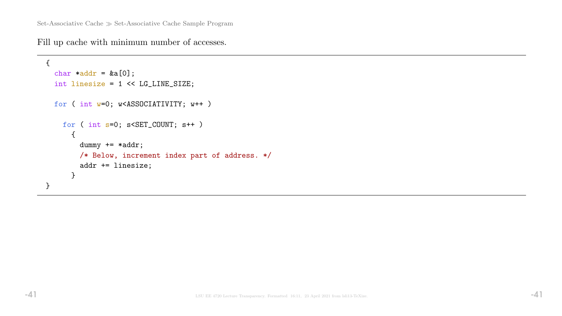Fill up cache with minimum number of accesses.

```
{
  char *addr = &a[0];int linesize = 1 << LG_LINE_SIZE;
 for ( int w=0; w<ASSOCIATIVITY; w++ )
   for ( int s=0; s<SET_COUNT; s++ )
      {
        dummy += *addr;
        /* Below, increment index part of address. */
        addr += linesize;
      }
}
```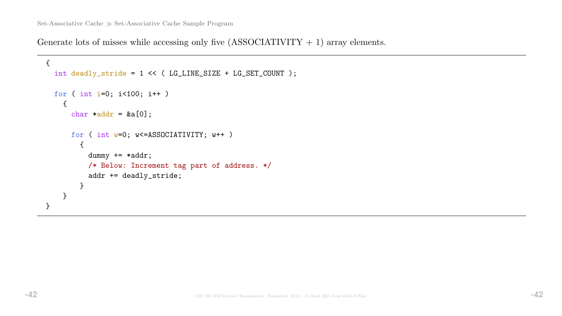Generate lots of misses while accessing only five  $(ASSOCIATIVITY + 1)$  array elements.

```
{
  int deadly_stride = 1 << ( LG_LINE_SIZE + LG_SET_COUNT );
 for ( int i=0; i<100; i++ )
    {
      char *addr = &a[0];for ( int w=0; w<=ASSOCIATIVITY; w++ )
        {
          dummy += *addr;
          /* Below: Increment tag part of address. */
          addr += deadly_stride;
        }
    }
}
```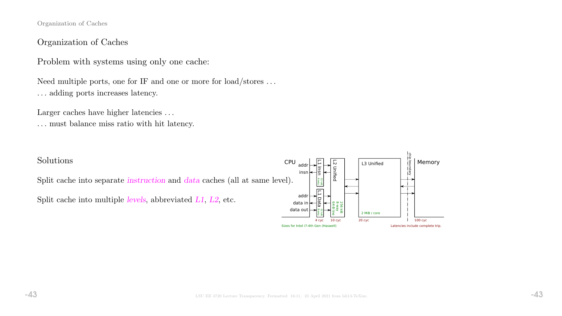Organization of Caches

### Organization of Caches

Problem with systems using only one cache:

Need multiple ports, one for IF and one or more for load/stores . . . . . . adding ports increases latency.

Larger caches have higher latencies ...

. . . must balance miss ratio with hit latency.

### Solutions

Split cache into separate instruction and data caches (all at same level).

Split cache into multiple levels, abbreviated L1, L2, etc.

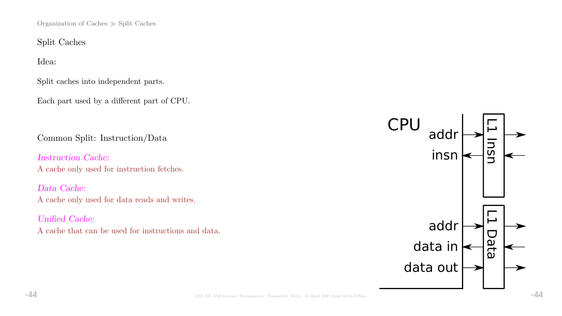Organization of Caches  $\gg$  Split Caches

Split Caches

Idea:

Split caches into independent parts.

Each part used by a different part of CPU.

Common Split: Instruction/Data

Instruction Cache: A cache only used for instruction fetches.

Data Cache: A cache only used for data reads and writes.

Unified Cache: A cache that can be used for instructions and data.

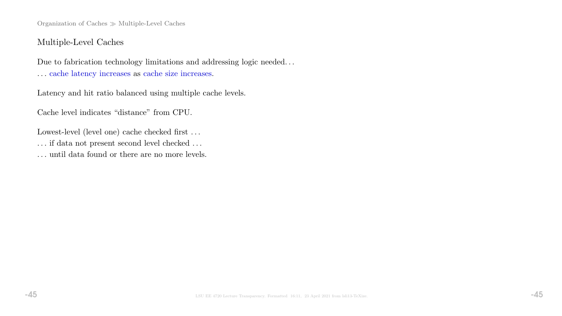Organization of Caches  $\gg$  Multiple-Level Caches

## Multiple-Level Caches

Due to fabrication technology limitations and addressing logic needed. . . . . . cache latency increases as cache size increases.

Latency and hit ratio balanced using multiple cache levels.

Cache level indicates "distance" from CPU.

Lowest-level (level one) cache checked first ...  $\ldots$  if data not present second level checked  $\ldots$ . . . until data found or there are no more levels.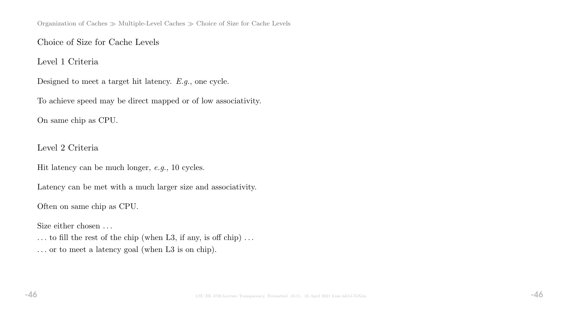# Choice of Size for Cache Levels

Level 1 Criteria

Designed to meet a target hit latency. E.g., one cycle.

To achieve speed may be direct mapped or of low associativity.

On same chip as CPU.

Level 2 Criteria

Hit latency can be much longer, e.g., 10 cycles.

Latency can be met with a much larger size and associativity.

Often on same chip as CPU.

Size either chosen ...

 $\ldots$  to fill the rest of the chip (when L3, if any, is off chip)  $\ldots$ . . . or to meet a latency goal (when L3 is on chip).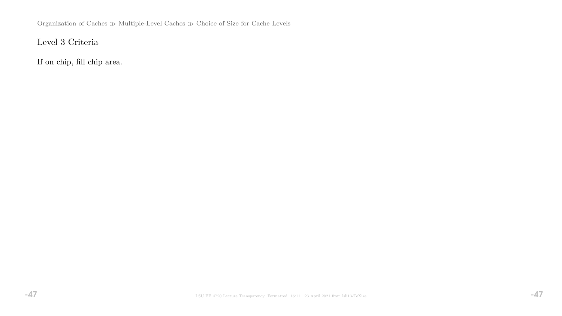Organization of Caches $\gg$  Multiple-Level Caches  $\gg$  Choice of Size for Cache Levels

# Level 3 Criteria

If on chip, fill chip area.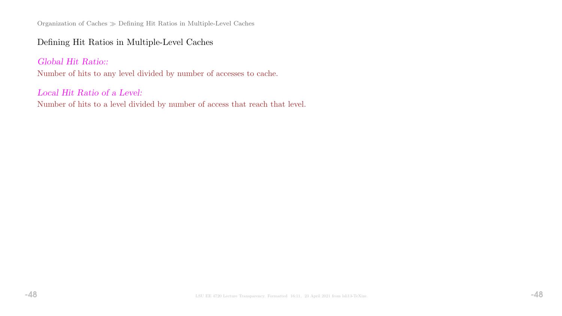Organization of Caches Defining Hit Ratios in Multiple-Level Caches

# Defining Hit Ratios in Multiple-Level Caches

# Global Hit Ratio::

Number of hits to any level divided by number of accesses to cache.

### Local Hit Ratio of a Level:

Number of hits to a level divided by number of access that reach that level.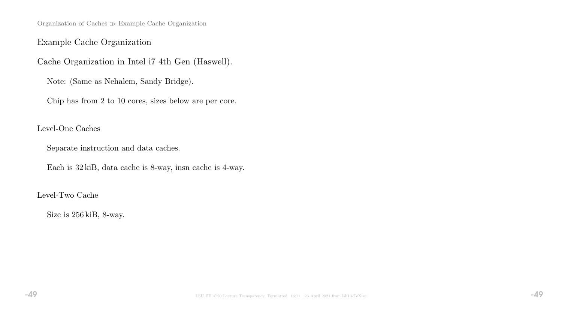Organization of Caches Example Cache Organization

# Example Cache Organization

Cache Organization in Intel i7 4th Gen (Haswell).

Note: (Same as Nehalem, Sandy Bridge).

Chip has from 2 to 10 cores, sizes below are per core.

### Level-One Caches

Separate instruction and data caches.

Each is 32 kiB, data cache is 8-way, insn cache is 4-way.

### Level-Two Cache

Size is 256 kiB, 8-way.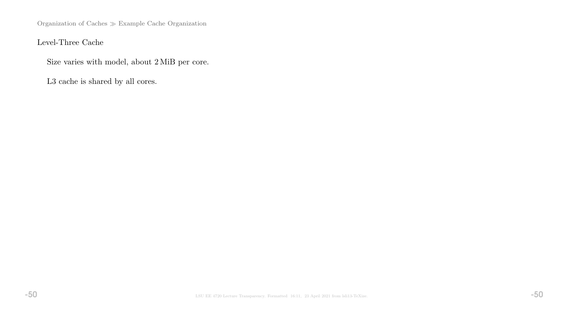Organization of Caches $\gg$  Example Cache Organization

Level-Three Cache

Size varies with model, about 2 MiB per core.

L3 cache is shared by all cores.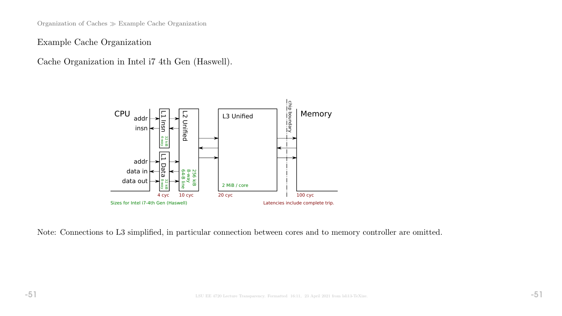Organization of Caches Example Cache Organization

Example Cache Organization

Cache Organization in Intel i7 4th Gen (Haswell).



Note: Connections to L3 simplified, in particular connection between cores and to memory controller are omitted.